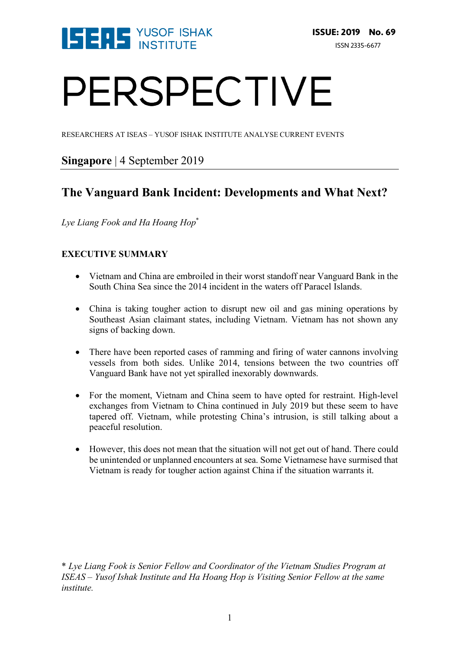

# PERSPECTIVE

RESEARCHERS AT ISEAS – YUSOF ISHAK INSTITUTE ANALYSE CURRENT EVENTS

## **Singapore** | 4 September 2019

## **The Vanguard Bank Incident: Developments and What Next?**

*Lye Liang Fook and Ha Hoang Hop*\*

### **EXECUTIVE SUMMARY**

- Vietnam and China are embroiled in their worst standoff near Vanguard Bank in the South China Sea since the 2014 incident in the waters off Paracel Islands.
- China is taking tougher action to disrupt new oil and gas mining operations by Southeast Asian claimant states, including Vietnam. Vietnam has not shown any signs of backing down.
- There have been reported cases of ramming and firing of water cannons involving vessels from both sides. Unlike 2014, tensions between the two countries off Vanguard Bank have not yet spiralled inexorably downwards.
- For the moment, Vietnam and China seem to have opted for restraint. High-level exchanges from Vietnam to China continued in July 2019 but these seem to have tapered off. Vietnam, while protesting China's intrusion, is still talking about a peaceful resolution.
- However, this does not mean that the situation will not get out of hand. There could be unintended or unplanned encounters at sea. Some Vietnamese have surmised that Vietnam is ready for tougher action against China if the situation warrants it.

\* *Lye Liang Fook is Senior Fellow and Coordinator of the Vietnam Studies Program at ISEAS – Yusof Ishak Institute and Ha Hoang Hop is Visiting Senior Fellow at the same institute.*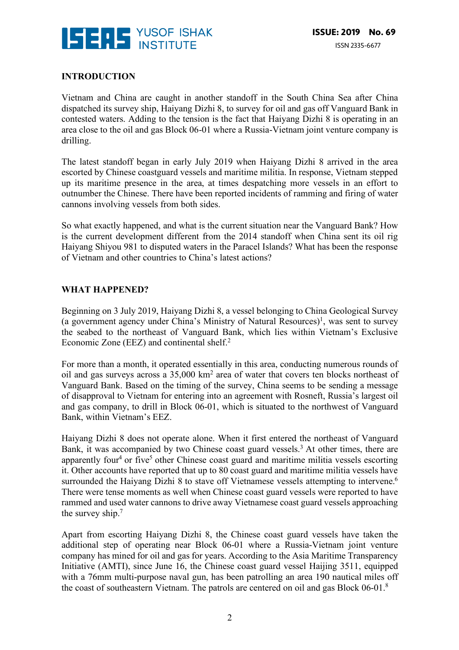

#### **INTRODUCTION**

Vietnam and China are caught in another standoff in the South China Sea after China dispatched its survey ship, Haiyang Dizhi 8, to survey for oil and gas off Vanguard Bank in contested waters. Adding to the tension is the fact that Haiyang Dizhi 8 is operating in an area close to the oil and gas Block 06-01 where a Russia-Vietnam joint venture company is drilling.

The latest standoff began in early July 2019 when Haiyang Dizhi 8 arrived in the area escorted by Chinese coastguard vessels and maritime militia. In response, Vietnam stepped up its maritime presence in the area, at times despatching more vessels in an effort to outnumber the Chinese. There have been reported incidents of ramming and firing of water cannons involving vessels from both sides.

So what exactly happened, and what is the current situation near the Vanguard Bank? How is the current development different from the 2014 standoff when China sent its oil rig Haiyang Shiyou 981 to disputed waters in the Paracel Islands? What has been the response of Vietnam and other countries to China's latest actions?

#### **WHAT HAPPENED?**

Beginning on 3 July 2019, Haiyang Dizhi 8, a vessel belonging to China Geological Survey (a government agency under China's Ministry of Natural Resources)<sup>1</sup>, was sent to survey the seabed to the northeast of Vanguard Bank, which lies within Vietnam's Exclusive Economic Zone (EEZ) and continental shelf.2

For more than a month, it operated essentially in this area, conducting numerous rounds of oil and gas surveys across a 35,000 km2 area of water that covers ten blocks northeast of Vanguard Bank. Based on the timing of the survey, China seems to be sending a message of disapproval to Vietnam for entering into an agreement with Rosneft, Russia's largest oil and gas company, to drill in Block 06-01, which is situated to the northwest of Vanguard Bank, within Vietnam's EEZ.

Haiyang Dizhi 8 does not operate alone. When it first entered the northeast of Vanguard Bank, it was accompanied by two Chinese coast guard vessels.<sup>3</sup> At other times, there are apparently four<sup>4</sup> or five<sup>5</sup> other Chinese coast guard and maritime militia vessels escorting it. Other accounts have reported that up to 80 coast guard and maritime militia vessels have surrounded the Haiyang Dizhi 8 to stave off Vietnamese vessels attempting to intervene.<sup>6</sup> There were tense moments as well when Chinese coast guard vessels were reported to have rammed and used water cannons to drive away Vietnamese coast guard vessels approaching the survey ship.<sup>7</sup>

Apart from escorting Haiyang Dizhi 8, the Chinese coast guard vessels have taken the additional step of operating near Block 06-01 where a Russia-Vietnam joint venture company has mined for oil and gas for years. According to the Asia Maritime Transparency Initiative (AMTI), since June 16, the Chinese coast guard vessel Haijing 3511, equipped with a 76mm multi-purpose naval gun, has been patrolling an area 190 nautical miles off the coast of southeastern Vietnam. The patrols are centered on oil and gas Block 06-01.8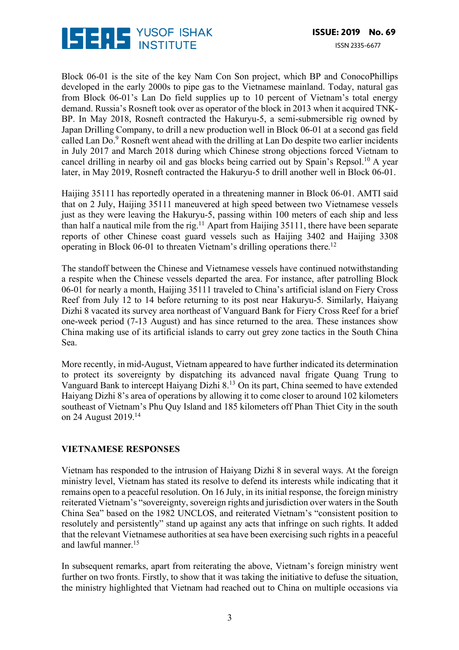

Block 06-01 is the site of the key Nam Con Son project, which BP and ConocoPhillips developed in the early 2000s to pipe gas to the Vietnamese mainland. Today, natural gas from Block 06-01's Lan Do field supplies up to 10 percent of Vietnam's total energy demand. Russia's Rosneft took over as operator of the block in 2013 when it acquired TNK-BP. In May 2018, Rosneft contracted the Hakuryu-5, a semi-submersible rig owned by Japan Drilling Company, to drill a new production well in Block 06-01 at a second gas field called Lan  $Do<sup>9</sup>$  Rosneft went ahead with the drilling at Lan Do despite two earlier incidents in July 2017 and March 2018 during which Chinese strong objections forced Vietnam to cancel drilling in nearby oil and gas blocks being carried out by Spain's Repsol.10 A year later, in May 2019, Rosneft contracted the Hakuryu-5 to drill another well in Block 06-01.

Haijing 35111 has reportedly operated in a threatening manner in Block 06-01. AMTI said that on 2 July, Haijing 35111 maneuvered at high speed between two Vietnamese vessels just as they were leaving the Hakuryu-5, passing within 100 meters of each ship and less than half a nautical mile from the rig.<sup>11</sup> Apart from Haijing 35111, there have been separate reports of other Chinese coast guard vessels such as Haijing 3402 and Haijing 3308 operating in Block  $06-01$  to threaten Vietnam's drilling operations there.<sup>12</sup>

The standoff between the Chinese and Vietnamese vessels have continued notwithstanding a respite when the Chinese vessels departed the area. For instance, after patrolling Block 06-01 for nearly a month, Haijing 35111 traveled to China's artificial island on Fiery Cross Reef from July 12 to 14 before returning to its post near Hakuryu-5. Similarly, Haiyang Dizhi 8 vacated its survey area northeast of Vanguard Bank for Fiery Cross Reef for a brief one-week period (7-13 August) and has since returned to the area. These instances show China making use of its artificial islands to carry out grey zone tactics in the South China Sea.

More recently, in mid-August, Vietnam appeared to have further indicated its determination to protect its sovereignty by dispatching its advanced naval frigate Quang Trung to Vanguard Bank to intercept Haiyang Dizhi 8.13 On its part, China seemed to have extended Haiyang Dizhi 8's area of operations by allowing it to come closer to around 102 kilometers southeast of Vietnam's Phu Quy Island and 185 kilometers off Phan Thiet City in the south on 24 August 2019.14

#### **VIETNAMESE RESPONSES**

Vietnam has responded to the intrusion of Haiyang Dizhi 8 in several ways. At the foreign ministry level, Vietnam has stated its resolve to defend its interests while indicating that it remains open to a peaceful resolution. On 16 July, in its initial response, the foreign ministry reiterated Vietnam's "sovereignty, sovereign rights and jurisdiction over waters in the South China Sea" based on the 1982 UNCLOS, and reiterated Vietnam's "consistent position to resolutely and persistently" stand up against any acts that infringe on such rights. It added that the relevant Vietnamese authorities at sea have been exercising such rights in a peaceful and lawful manner.15

In subsequent remarks, apart from reiterating the above, Vietnam's foreign ministry went further on two fronts. Firstly, to show that it was taking the initiative to defuse the situation, the ministry highlighted that Vietnam had reached out to China on multiple occasions via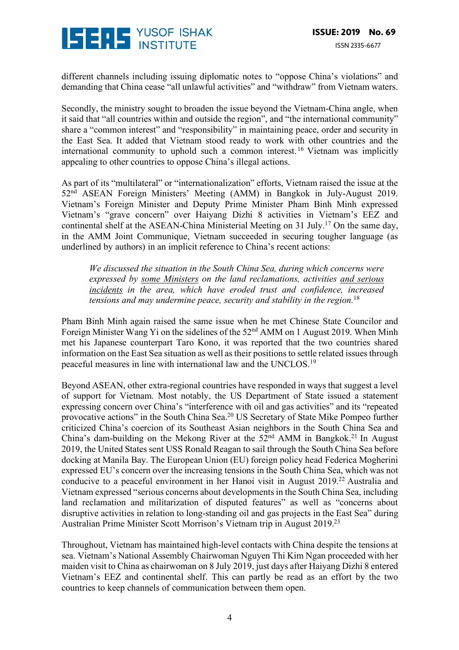

different channels including issuing diplomatic notes to "oppose China's violations" and demanding that China cease "all unlawful activities" and "withdraw" from Vietnam waters.

Secondly, the ministry sought to broaden the issue beyond the Vietnam-China angle, when it said that "all countries within and outside the region", and "the international community" share a "common interest" and "responsibility" in maintaining peace, order and security in the East Sea. It added that Vietnam stood ready to work with other countries and the international community to uphold such a common interest. <sup>16</sup> Vietnam was implicitly appealing to other countries to oppose China's illegal actions.

As part of its "multilateral" or "internationalization" efforts, Vietnam raised the issue at the 52nd ASEAN Foreign Ministers' Meeting (AMM) in Bangkok in July-August 2019. Vietnam's Foreign Minister and Deputy Prime Minister Pham Binh Minh expressed Vietnam's "grave concern" over Haiyang Dizhi 8 activities in Vietnam's EEZ and continental shelf at the ASEAN-China Ministerial Meeting on 31 July.17 On the same day, in the AMM Joint Communique, Vietnam succeeded in securing tougher language (as underlined by authors) in an implicit reference to China's recent actions:

*We discussed the situation in the South China Sea, during which concerns were expressed by some Ministers on the land reclamations, activities and serious incidents in the area, which have eroded trust and confidence, increased tensions and may undermine peace, security and stability in the region.*<sup>18</sup>

Pham Binh Minh again raised the same issue when he met Chinese State Councilor and Foreign Minister Wang Yi on the sidelines of the 52nd AMM on 1 August 2019. When Minh met his Japanese counterpart Taro Kono, it was reported that the two countries shared information on the East Sea situation as well as their positions to settle related issues through peaceful measures in line with international law and the UNCLOS.19

Beyond ASEAN, other extra-regional countries have responded in ways that suggest a level of support for Vietnam. Most notably, the US Department of State issued a statement expressing concern over China's "interference with oil and gas activities" and its "repeated provocative actions" in the South China Sea.20 US Secretary of State Mike Pompeo further criticized China's coercion of its Southeast Asian neighbors in the South China Sea and China's dam-building on the Mekong River at the  $52<sup>nd</sup>$  AMM in Bangkok.<sup>21</sup> In August 2019, the United States sent USS Ronald Reagan to sail through the South China Sea before docking at Manila Bay. The European Union (EU) foreign policy head Federica Mogherini expressed EU's concern over the increasing tensions in the South China Sea, which was not conducive to a peaceful environment in her Hanoi visit in August 2019.<sup>22</sup> Australia and Vietnam expressed "serious concerns about developments in the South China Sea, including land reclamation and militarization of disputed features" as well as "concerns about disruptive activities in relation to long-standing oil and gas projects in the East Sea" during Australian Prime Minister Scott Morrison's Vietnam trip in August 2019.23

Throughout, Vietnam has maintained high-level contacts with China despite the tensions at sea. Vietnam's National Assembly Chairwoman Nguyen Thi Kim Ngan proceeded with her maiden visit to China as chairwoman on 8 July 2019, just days after Haiyang Dizhi 8 entered Vietnam's EEZ and continental shelf. This can partly be read as an effort by the two countries to keep channels of communication between them open.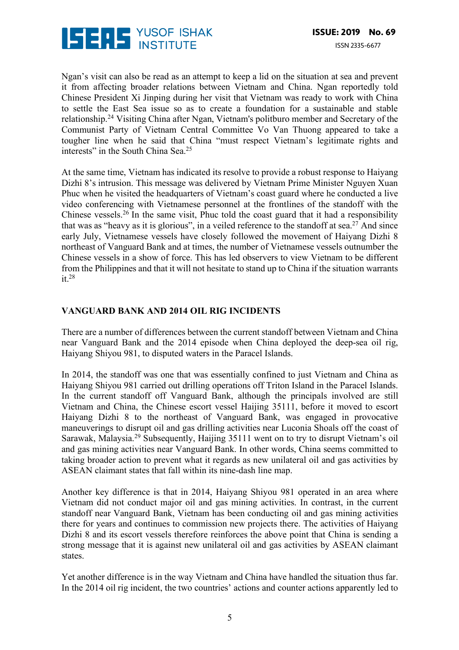

Ngan's visit can also be read as an attempt to keep a lid on the situation at sea and prevent it from affecting broader relations between Vietnam and China. Ngan reportedly told Chinese President Xi Jinping during her visit that Vietnam was ready to work with China to settle the East Sea issue so as to create a foundation for a sustainable and stable relationship.24 Visiting China after Ngan, Vietnam's politburo member and Secretary of the Communist Party of Vietnam Central Committee Vo Van Thuong appeared to take a tougher line when he said that China "must respect Vietnam's legitimate rights and interests" in the South China Sea.<sup>25</sup>

At the same time, Vietnam has indicated its resolve to provide a robust response to Haiyang Dizhi 8's intrusion. This message was delivered by Vietnam Prime Minister Nguyen Xuan Phuc when he visited the headquarters of Vietnam's coast guard where he conducted a live video conferencing with Vietnamese personnel at the frontlines of the standoff with the Chinese vessels.<sup>26</sup> In the same visit, Phuc told the coast guard that it had a responsibility that was as "heavy as it is glorious", in a veiled reference to the standoff at sea.<sup>27</sup> And since early July, Vietnamese vessels have closely followed the movement of Haiyang Dizhi 8 northeast of Vanguard Bank and at times, the number of Vietnamese vessels outnumber the Chinese vessels in a show of force. This has led observers to view Vietnam to be different from the Philippines and that it will not hesitate to stand up to China if the situation warrants it.28

#### **VANGUARD BANK AND 2014 OIL RIG INCIDENTS**

There are a number of differences between the current standoff between Vietnam and China near Vanguard Bank and the 2014 episode when China deployed the deep-sea oil rig, Haiyang Shiyou 981, to disputed waters in the Paracel Islands.

In 2014, the standoff was one that was essentially confined to just Vietnam and China as Haiyang Shiyou 981 carried out drilling operations off Triton Island in the Paracel Islands. In the current standoff off Vanguard Bank, although the principals involved are still Vietnam and China, the Chinese escort vessel Haijing 35111, before it moved to escort Haiyang Dizhi 8 to the northeast of Vanguard Bank, was engaged in provocative maneuverings to disrupt oil and gas drilling activities near Luconia Shoals off the coast of Sarawak, Malaysia.29 Subsequently, Haijing 35111 went on to try to disrupt Vietnam's oil and gas mining activities near Vanguard Bank. In other words, China seems committed to taking broader action to prevent what it regards as new unilateral oil and gas activities by ASEAN claimant states that fall within its nine-dash line map.

Another key difference is that in 2014, Haiyang Shiyou 981 operated in an area where Vietnam did not conduct major oil and gas mining activities. In contrast, in the current standoff near Vanguard Bank, Vietnam has been conducting oil and gas mining activities there for years and continues to commission new projects there. The activities of Haiyang Dizhi 8 and its escort vessels therefore reinforces the above point that China is sending a strong message that it is against new unilateral oil and gas activities by ASEAN claimant states.

Yet another difference is in the way Vietnam and China have handled the situation thus far. In the 2014 oil rig incident, the two countries' actions and counter actions apparently led to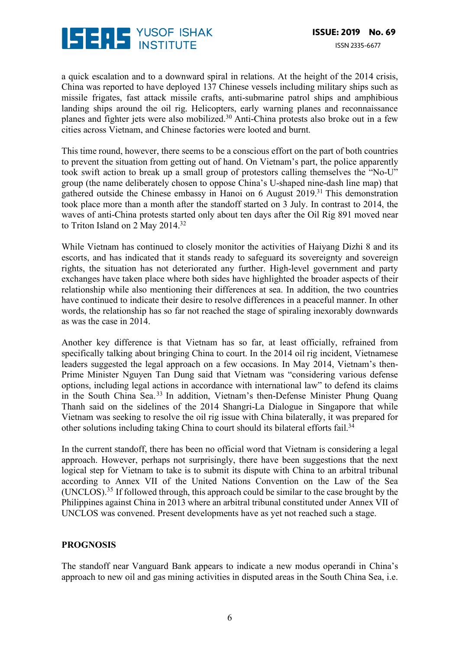

a quick escalation and to a downward spiral in relations. At the height of the 2014 crisis, China was reported to have deployed 137 Chinese vessels including military ships such as missile frigates, fast attack missile crafts, anti-submarine patrol ships and amphibious landing ships around the oil rig. Helicopters, early warning planes and reconnaissance planes and fighter jets were also mobilized.30 Anti-China protests also broke out in a few cities across Vietnam, and Chinese factories were looted and burnt.

This time round, however, there seems to be a conscious effort on the part of both countries to prevent the situation from getting out of hand. On Vietnam's part, the police apparently took swift action to break up a small group of protestors calling themselves the "No-U" group (the name deliberately chosen to oppose China's U-shaped nine-dash line map) that gathered outside the Chinese embassy in Hanoi on 6 August 2019.31 This demonstration took place more than a month after the standoff started on 3 July. In contrast to 2014, the waves of anti-China protests started only about ten days after the Oil Rig 891 moved near to Triton Island on 2 May 2014.<sup>32</sup>

While Vietnam has continued to closely monitor the activities of Haiyang Dizhi 8 and its escorts, and has indicated that it stands ready to safeguard its sovereignty and sovereign rights, the situation has not deteriorated any further. High-level government and party exchanges have taken place where both sides have highlighted the broader aspects of their relationship while also mentioning their differences at sea. In addition, the two countries have continued to indicate their desire to resolve differences in a peaceful manner. In other words, the relationship has so far not reached the stage of spiraling inexorably downwards as was the case in 2014.

Another key difference is that Vietnam has so far, at least officially, refrained from specifically talking about bringing China to court. In the 2014 oil rig incident, Vietnamese leaders suggested the legal approach on a few occasions. In May 2014, Vietnam's then-Prime Minister Nguyen Tan Dung said that Vietnam was "considering various defense options, including legal actions in accordance with international law" to defend its claims in the South China Sea. <sup>33</sup> In addition, Vietnam's then-Defense Minister Phung Quang Thanh said on the sidelines of the 2014 Shangri-La Dialogue in Singapore that while Vietnam was seeking to resolve the oil rig issue with China bilaterally, it was prepared for other solutions including taking China to court should its bilateral efforts fail.34

In the current standoff, there has been no official word that Vietnam is considering a legal approach. However, perhaps not surprisingly, there have been suggestions that the next logical step for Vietnam to take is to submit its dispute with China to an arbitral tribunal according to Annex VII of the United Nations Convention on the Law of the Sea (UNCLOS).35 If followed through, this approach could be similar to the case brought by the Philippines against China in 2013 where an arbitral tribunal constituted under Annex VII of UNCLOS was convened. Present developments have as yet not reached such a stage.

#### **PROGNOSIS**

The standoff near Vanguard Bank appears to indicate a new modus operandi in China's approach to new oil and gas mining activities in disputed areas in the South China Sea, i.e.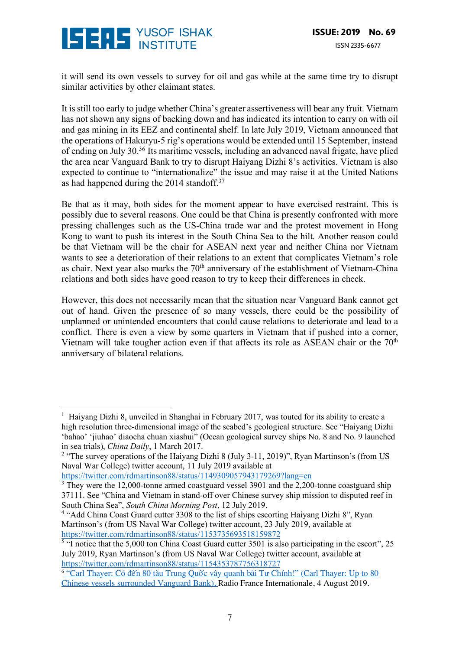

it will send its own vessels to survey for oil and gas while at the same time try to disrupt similar activities by other claimant states.

It is still too early to judge whether China's greater assertiveness will bear any fruit. Vietnam has not shown any signs of backing down and has indicated its intention to carry on with oil and gas mining in its EEZ and continental shelf. In late July 2019, Vietnam announced that the operations of Hakuryu-5 rig's operations would be extended until 15 September, instead of ending on July 30.36 Its maritime vessels, including an advanced naval frigate, have plied the area near Vanguard Bank to try to disrupt Haiyang Dizhi 8's activities. Vietnam is also expected to continue to "internationalize" the issue and may raise it at the United Nations as had happened during the 2014 standoff.37

Be that as it may, both sides for the moment appear to have exercised restraint. This is possibly due to several reasons. One could be that China is presently confronted with more pressing challenges such as the US-China trade war and the protest movement in Hong Kong to want to push its interest in the South China Sea to the hilt. Another reason could be that Vietnam will be the chair for ASEAN next year and neither China nor Vietnam wants to see a deterioration of their relations to an extent that complicates Vietnam's role as chair. Next year also marks the 70<sup>th</sup> anniversary of the establishment of Vietnam-China relations and both sides have good reason to try to keep their differences in check.

However, this does not necessarily mean that the situation near Vanguard Bank cannot get out of hand. Given the presence of so many vessels, there could be the possibility of unplanned or unintended encounters that could cause relations to deteriorate and lead to a conflict. There is even a view by some quarters in Vietnam that if pushed into a corner, Vietnam will take tougher action even if that affects its role as ASEAN chair or the  $70<sup>th</sup>$ anniversary of bilateral relations.

 

<sup>&</sup>lt;sup>1</sup> Haiyang Dizhi 8, unveiled in Shanghai in February 2017, was touted for its ability to create a high resolution three-dimensional image of the seabed's geological structure. See "Haiyang Dizhi 'bahao' 'jiuhao' diaocha chuan xiashui" (Ocean geological survey ships No. 8 and No. 9 launched in sea trials), *China Daily*, 1 March 2017.

<sup>&</sup>lt;sup>2</sup> "The survey operations of the Haiyang Dizhi 8 (July 3-11, 2019)", Ryan Martinson's (from US Naval War College) twitter account, 11 July 2019 available at

https://twitter.com/rdmartinson88/status/1149309057943179269?lang=en

<sup>&</sup>lt;sup>3</sup> They were the 12,000-tonne armed coastguard vessel 3901 and the 2,200-tonne coastguard ship 37111. See "China and Vietnam in stand-off over Chinese survey ship mission to disputed reef in South China Sea", *South China Morning Post*, 12 July 2019.

<sup>&</sup>lt;sup>4</sup> "Add China Coast Guard cutter 3308 to the list of ships escorting Haiyang Dizhi 8", Ryan Martinson's (from US Naval War College) twitter account, 23 July 2019, available at https://twitter.com/rdmartinson88/status/1153735693518159872

 $\frac{5}{3}$  "I notice that the 5,000 ton China Coast Guard cutter 3501 is also participating in the escort", 25 July 2019, Ryan Martinson's (from US Naval War College) twitter account, available at https://twitter.com/rdmartinson88/status/1154353787756318727

<sup>&</sup>lt;sup>6</sup> "Carl Thayer: Có đến 80 tàu Trung Quốc vây quanh bãi Tư Chính!" (Carl Thayer: Up to 80 Chinese vessels surrounded Vanguard Bank), Radio France Internationale, 4 August 2019.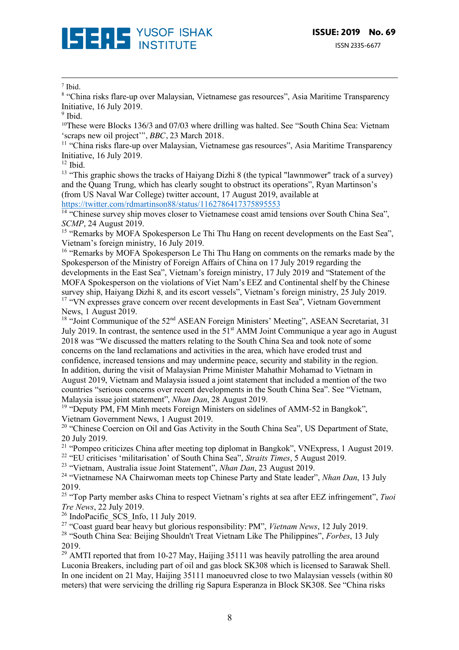

#### <sup>7</sup> Ibid.

<sup>8</sup> "China risks flare-up over Malaysian, Vietnamese gas resources", Asia Maritime Transparency Initiative, 16 July 2019.

<u> 1989 - Andrea Santa Alemania, poeta esperanto-se esperanto-se esperanto-se esperanto-se esperanto-se esperan</u>

<sup>10</sup>These were Blocks 136/3 and 07/03 where drilling was halted. See "South China Sea: Vietnam 'scraps new oil project'", *BBC*, 23 March 2018.

<sup>11</sup> "China risks flare-up over Malaysian, Vietnamese gas resources", Asia Maritime Transparency Initiative, 16 July 2019.

 $12$  Ibid.

<sup>13</sup> "This graphic shows the tracks of Haiyang Dizhi 8 (the typical "lawnmower" track of a survey) and the Quang Trung, which has clearly sought to obstruct its operations", Ryan Martinson's (from US Naval War College) twitter account, 17 August 2019, available at https://twitter.com/rdmartinson88/status/1162786417375895553

<sup>14 "</sup>Chinese survey ship moves closer to Vietnamese coast amid tensions over South China Sea", *SCMP*, 24 August 2019.

<sup>15</sup> "Remarks by MOFA Spokesperson Le Thi Thu Hang on recent developments on the East Sea", Vietnam's foreign ministry, 16 July 2019.

<sup>16</sup> "Remarks by MOFA Spokesperson Le Thi Thu Hang on comments on the remarks made by the Spokesperson of the Ministry of Foreign Affairs of China on 17 July 2019 regarding the developments in the East Sea", Vietnam's foreign ministry, 17 July 2019 and "Statement of the MOFA Spokesperson on the violations of Viet Nam's EEZ and Continental shelf by the Chinese survey ship, Haiyang Dizhi 8, and its escort vessels". Vietnam's foreign ministry, 25 July 2019. <sup>17</sup> "VN expresses grave concern over recent developments in East Sea", Vietnam Government News, 1 August 2019.

<sup>18</sup> "Joint Communique of the 52<sup>nd</sup> ASEAN Foreign Ministers' Meeting", ASEAN Secretariat, 31 July 2019. In contrast, the sentence used in the 51<sup>st</sup> AMM Joint Communique a year ago in August 2018 was "We discussed the matters relating to the South China Sea and took note of some concerns on the land reclamations and activities in the area, which have eroded trust and confidence, increased tensions and may undermine peace, security and stability in the region. In addition, during the visit of Malaysian Prime Minister Mahathir Mohamad to Vietnam in August 2019, Vietnam and Malaysia issued a joint statement that included a mention of the two countries "serious concerns over recent developments in the South China Sea". See "Vietnam, Malaysia issue joint statement", *Nhan Dan*, 28 August 2019.

<sup>19</sup> "Deputy PM, FM Minh meets Foreign Ministers on sidelines of AMM-52 in Bangkok", Vietnam Government News, 1 August 2019.

<sup>20</sup> "Chinese Coercion on Oil and Gas Activity in the South China Sea", US Department of State, 20 July 2019.

 $21$  "Pompeo criticizes China after meeting top diplomat in Bangkok", VNExpress, 1 August 2019. <sup>22</sup> "EU criticises 'militarisation' of South China Sea", *Straits Times*, 5 August 2019.

<sup>23</sup> "Vietnam, Australia issue Joint Statement", *Nhan Dan*, 23 August 2019.

<sup>24</sup> "Vietnamese NA Chairwoman meets top Chinese Party and State leader", *Nhan Dan*, 13 July 2019.

<sup>25</sup> "Top Party member asks China to respect Vietnam's rights at sea after EEZ infringement", *Tuoi Tre News*, 22 July 2019.

 $26$  IndoPacific SCS Info, 11 July 2019.

<sup>27</sup> "Coast guard bear heavy but glorious responsibility: PM", *Vietnam News*, 12 July 2019.

<sup>28</sup> "South China Sea: Beijing Shouldn't Treat Vietnam Like The Philippines", *Forbes*, 13 July 2019.

 $^{29}$  AMTI reported that from 10-27 May, Haijing 35111 was heavily patrolling the area around Luconia Breakers, including part of oil and gas block SK308 which is licensed to Sarawak Shell. In one incident on 21 May, Haijing 35111 manoeuvred close to two Malaysian vessels (within 80 meters) that were servicing the drilling rig Sapura Esperanza in Block SK308. See "China risks

 $9$  Ibid.